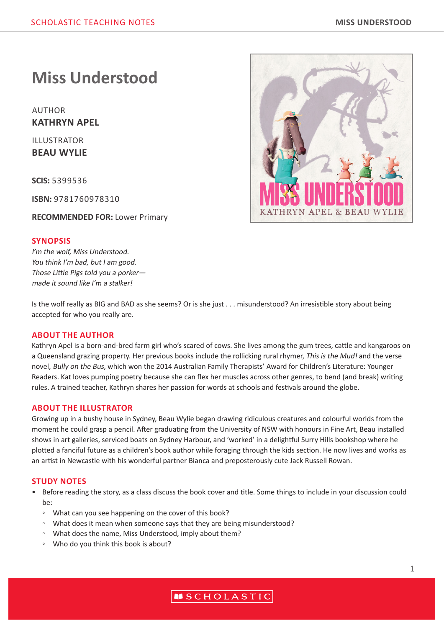# **Miss Understood**

AUTHOR **KATHRYN APEL**

ILLUSTRATOR **BEAU WYLIE**

**SCIS:** 5399536

**ISBN:** 9781760978310

**RECOMMENDED FOR:** Lower Primary

## **SYNOPSIS**

I'm the wolf. Miss Understood. You think I'm bad, but I am good. Those Little Pigs told you a porker made it sound like I'm a stalker!

Is the wolf really as BIG and BAD as she seems? Or is she just . . . misunderstood? An irresistible story about being accepted for who you really are.

## **ABOUT THE AUTHOR**

Kathryn Apel is a born-and-bred farm girl who's scared of cows. She lives among the gum trees, cattle and kangaroos on a Queensland grazing property. Her previous books include the rollicking rural rhymer, This is the Mud! and the verse novel, Bully on the Bus, which won the 2014 Australian Family Therapists' Award for Children's Literature: Younger Readers. Kat loves pumping poetry because she can flex her muscles across other genres, to bend (and break) writing rules. A trained teacher, Kathryn shares her passion for words at schools and festivals around the globe.

#### **ABOUT THE ILLUSTRATOR**

Growing up in a bushy house in Sydney, Beau Wylie began drawing ridiculous creatures and colourful worlds from the moment he could grasp a pencil. After graduating from the University of NSW with honours in Fine Art, Beau installed shows in art galleries, serviced boats on Sydney Harbour, and 'worked' in a delightful Surry Hills bookshop where he plotted a fanciful future as a children's book author while foraging through the kids section. He now lives and works as an artist in Newcastle with his wonderful partner Bianca and preposterously cute Jack Russell Rowan.

#### **STUDY NOTES**

- Before reading the story, as a class discuss the book cover and title. Some things to include in your discussion could be:
	- What can you see happening on the cover of this book?
	- What does it mean when someone says that they are being misunderstood?
	- What does the name, Miss Understood, imply about them?
	- Who do you think this book is about?